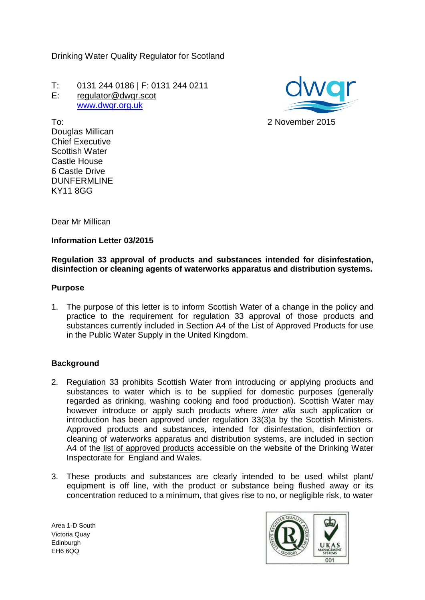Drinking Water Quality Regulator for Scotland

T: 0131 244 0186 | F: 0131 244 0211 E: regulator@dwgr.scot [www.dwqr.org.uk](http://www.dwqr.org.uk/)



To: Douglas Millican Chief Executive Scottish Water Castle House 6 Castle Drive DUNFERMLINE KY11 8GG

Dear Mr Millican

### **Information Letter 03/2015**

## **Regulation 33 approval of products and substances intended for disinfestation, disinfection or cleaning agents of waterworks apparatus and distribution systems.**

#### **Purpose**

1. The purpose of this letter is to inform Scottish Water of a change in the policy and practice to the requirement for regulation 33 approval of those products and substances currently included in Section A4 of the List of Approved Products for use in the Public Water Supply in the United Kingdom.

# **Background**

- 2. Regulation 33 prohibits Scottish Water from introducing or applying products and substances to water which is to be supplied for domestic purposes (generally regarded as drinking, washing cooking and food production). Scottish Water may however introduce or apply such products where *inter alia* such application or introduction has been approved under regulation 33(3)a by the Scottish Ministers. Approved products and substances, intended for disinfestation, disinfection or cleaning of waterworks apparatus and distribution systems, are included in section A4 of the [list of approved products](http://dwi.defra.gov.uk/drinking-water-products/approved-products/soslistcurrent.pdf) accessible on the website of the Drinking Water Inspectorate for England and Wales.
- 3. These products and substances are clearly intended to be used whilst plant/ equipment is off line, with the product or substance being flushed away or its concentration reduced to a minimum, that gives rise to no, or negligible risk, to water

Area 1-D South Victoria Quay **Edinburgh** EH6 6QQ